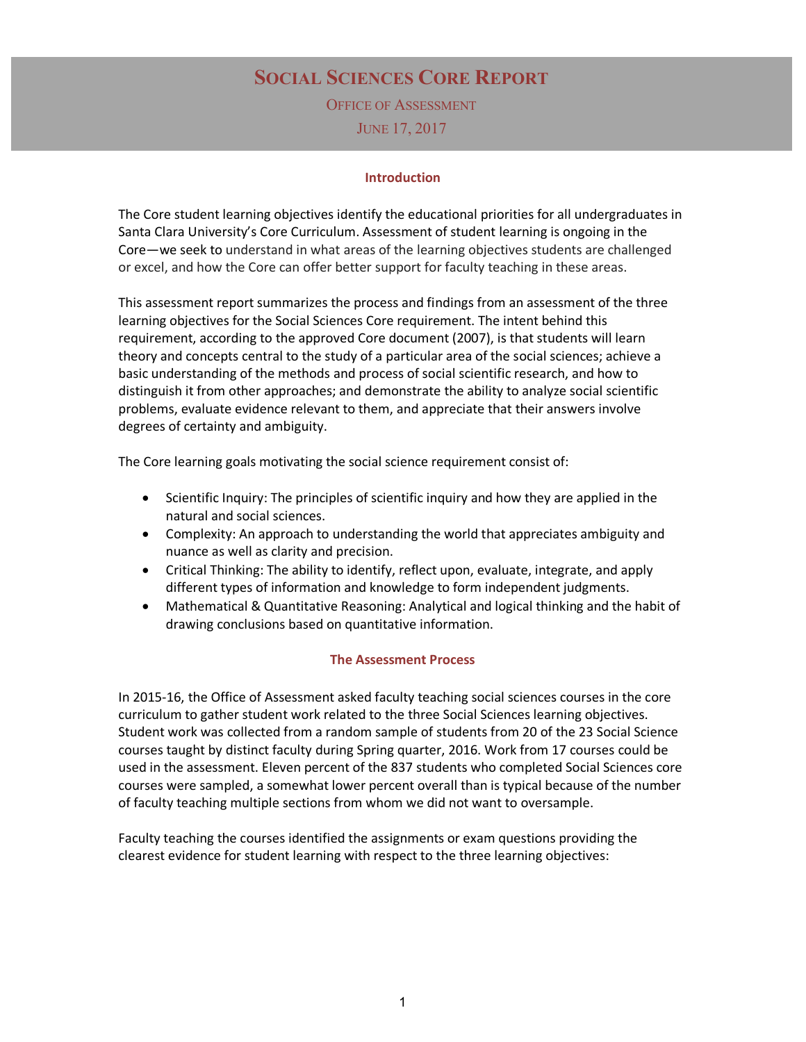# **SOCIAL SCIENCES CORE REPORT**

OFFICE OF ASSESSMENT JUNE 17, 2017

#### **Introduction**

The Core student learning objectives identify the educational priorities for all undergraduates in Santa Clara University's Core Curriculum. Assessment of student learning is ongoing in the Core—we seek to understand in what areas of the learning objectives students are challenged or excel, and how the Core can offer better support for faculty teaching in these areas.

This assessment report summarizes the process and findings from an assessment of the three learning objectives for the Social Sciences Core requirement. The intent behind this requirement, according to the approved Core document (2007), is that students will learn theory and concepts central to the study of a particular area of the social sciences; achieve a basic understanding of the methods and process of social scientific research, and how to distinguish it from other approaches; and demonstrate the ability to analyze social scientific problems, evaluate evidence relevant to them, and appreciate that their answers involve degrees of certainty and ambiguity.

The Core learning goals motivating the social science requirement consist of:

- Scientific Inquiry: The principles of scientific inquiry and how they are applied in the natural and social sciences.
- Complexity: An approach to understanding the world that appreciates ambiguity and nuance as well as clarity and precision.
- Critical Thinking: The ability to identify, reflect upon, evaluate, integrate, and apply different types of information and knowledge to form independent judgments.
- Mathematical & Quantitative Reasoning: Analytical and logical thinking and the habit of drawing conclusions based on quantitative information.

#### **The Assessment Process**

In 2015-16, the Office of Assessment asked faculty teaching social sciences courses in the core curriculum to gather student work related to the three Social Sciences learning objectives. Student work was collected from a random sample of students from 20 of the 23 Social Science courses taught by distinct faculty during Spring quarter, 2016. Work from 17 courses could be used in the assessment. Eleven percent of the 837 students who completed Social Sciences core courses were sampled, a somewhat lower percent overall than is typical because of the number of faculty teaching multiple sections from whom we did not want to oversample.

Faculty teaching the courses identified the assignments or exam questions providing the clearest evidence for student learning with respect to the three learning objectives: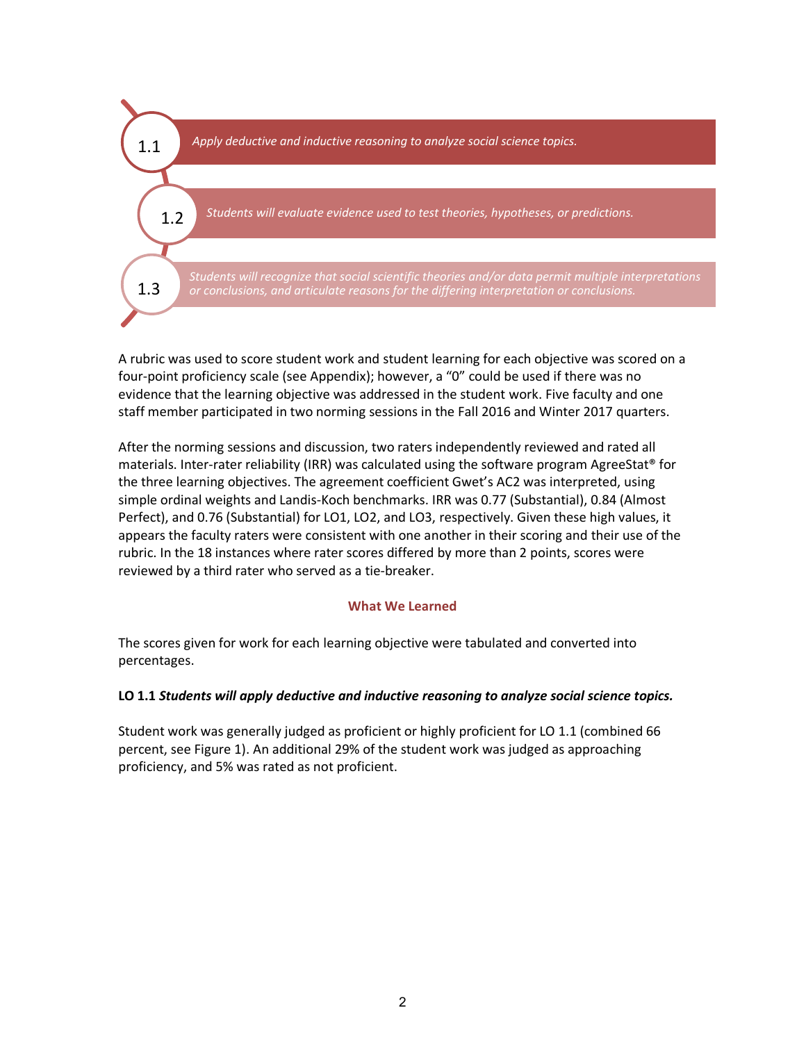

A rubric was used to score student work and student learning for each objective was scored on a four-point proficiency scale (see Appendix); however, a "0" could be used if there was no evidence that the learning objective was addressed in the student work. Five faculty and one staff member participated in two norming sessions in the Fall 2016 and Winter 2017 quarters.

After the norming sessions and discussion, two raters independently reviewed and rated all materials. Inter-rater reliability (IRR) was calculated using the software program AgreeStat® for the three learning objectives. The agreement coefficient Gwet's AC2 was interpreted, using simple ordinal weights and Landis-Koch benchmarks. IRR was 0.77 (Substantial), 0.84 (Almost Perfect), and 0.76 (Substantial) for LO1, LO2, and LO3, respectively. Given these high values, it appears the faculty raters were consistent with one another in their scoring and their use of the rubric. In the 18 instances where rater scores differed by more than 2 points, scores were reviewed by a third rater who served as a tie-breaker.

#### **What We Learned**

The scores given for work for each learning objective were tabulated and converted into percentages.

#### **LO 1.1** *Students will apply deductive and inductive reasoning to analyze social science topics.*

Student work was generally judged as proficient or highly proficient for LO 1.1 (combined 66 percent, see Figure 1). An additional 29% of the student work was judged as approaching proficiency, and 5% was rated as not proficient.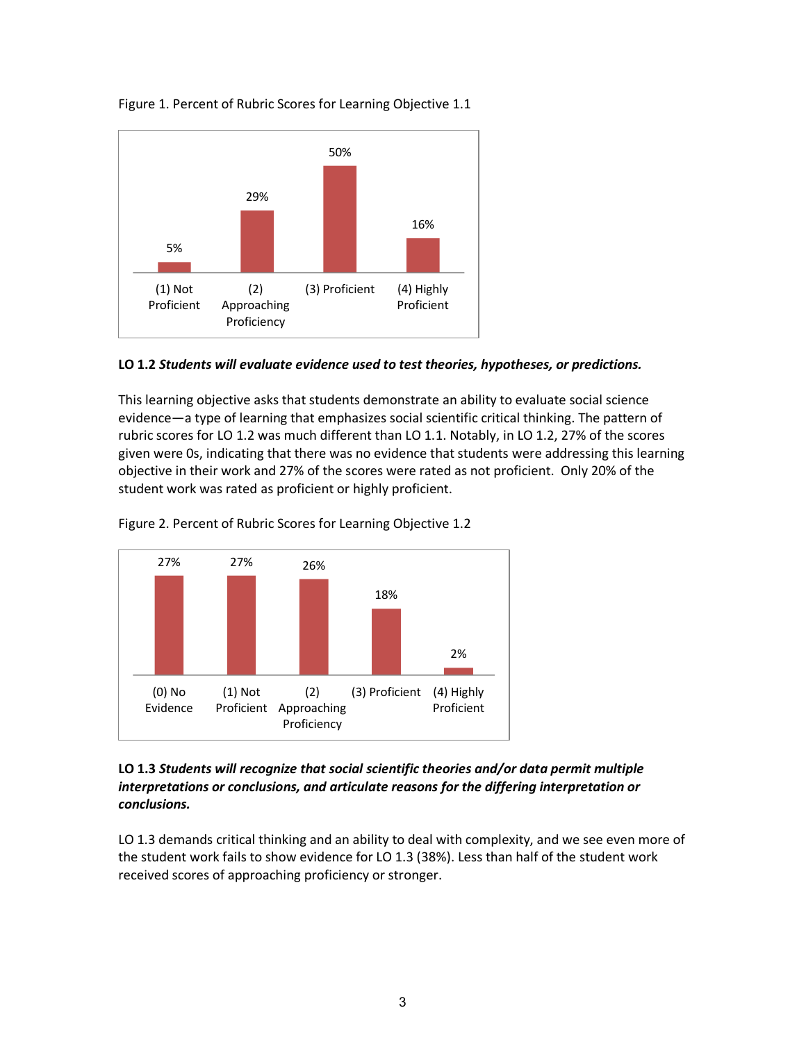



#### **LO 1.2** *Students will evaluate evidence used to test theories, hypotheses, or predictions.*

This learning objective asks that students demonstrate an ability to evaluate social science evidence—a type of learning that emphasizes social scientific critical thinking. The pattern of rubric scores for LO 1.2 was much different than LO 1.1. Notably, in LO 1.2, 27% of the scores given were 0s, indicating that there was no evidence that students were addressing this learning objective in their work and 27% of the scores were rated as not proficient. Only 20% of the student work was rated as proficient or highly proficient.





### **LO 1.3** *Students will recognize that social scientific theories and/or data permit multiple interpretations or conclusions, and articulate reasons for the differing interpretation or conclusions.*

LO 1.3 demands critical thinking and an ability to deal with complexity, and we see even more of the student work fails to show evidence for LO 1.3 (38%). Less than half of the student work received scores of approaching proficiency or stronger.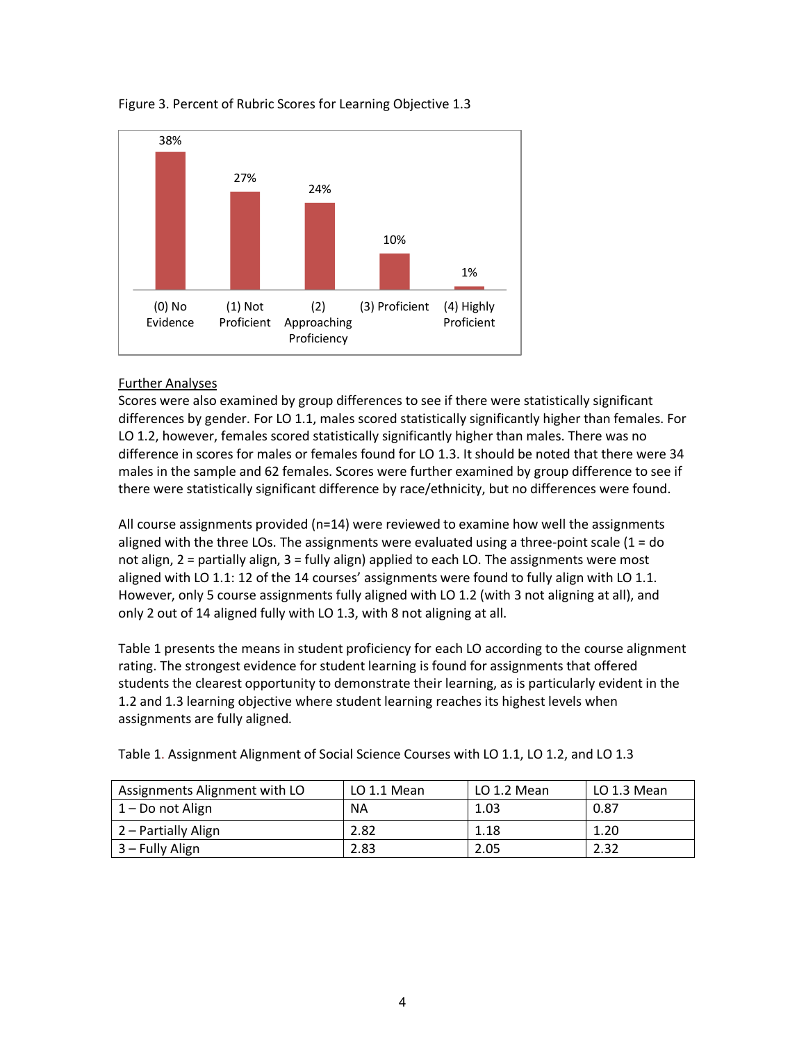

## Figure 3. Percent of Rubric Scores for Learning Objective 1.3

## Further Analyses

Scores were also examined by group differences to see if there were statistically significant differences by gender. For LO 1.1, males scored statistically significantly higher than females. For LO 1.2, however, females scored statistically significantly higher than males. There was no difference in scores for males or females found for LO 1.3. It should be noted that there were 34 males in the sample and 62 females. Scores were further examined by group difference to see if there were statistically significant difference by race/ethnicity, but no differences were found.

All course assignments provided (n=14) were reviewed to examine how well the assignments aligned with the three LOs. The assignments were evaluated using a three-point scale  $(1 = do$ not align, 2 = partially align, 3 = fully align) applied to each LO. The assignments were most aligned with LO 1.1: 12 of the 14 courses' assignments were found to fully align with LO 1.1. However, only 5 course assignments fully aligned with LO 1.2 (with 3 not aligning at all), and only 2 out of 14 aligned fully with LO 1.3, with 8 not aligning at all.

Table 1 presents the means in student proficiency for each LO according to the course alignment rating. The strongest evidence for student learning is found for assignments that offered students the clearest opportunity to demonstrate their learning, as is particularly evident in the 1.2 and 1.3 learning objective where student learning reaches its highest levels when assignments are fully aligned.

| Assignments Alignment with LO | LO 1.1 Mean | LO 1.2 Mean | LO 1.3 Mean |
|-------------------------------|-------------|-------------|-------------|
| 1 – Do not Align              | ΝA          | 1.03        | 0.87        |
| 2 – Partially Align           | 2.82        | 1.18        | 1.20        |
| 3 – Fully Align               | 2.83        | 2.05        | 2.32        |

Table 1. Assignment Alignment of Social Science Courses with LO 1.1, LO 1.2, and LO 1.3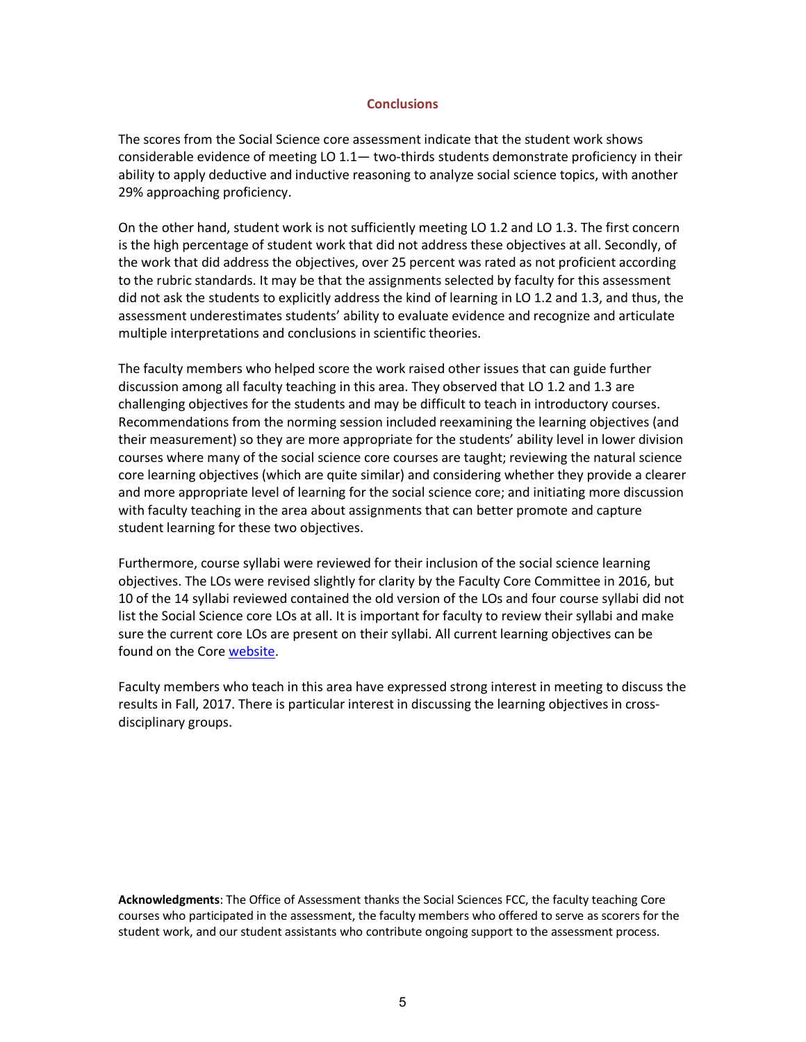#### **Conclusions**

The scores from the Social Science core assessment indicate that the student work shows considerable evidence of meeting LO 1.1— two-thirds students demonstrate proficiency in their ability to apply deductive and inductive reasoning to analyze social science topics, with another 29% approaching proficiency.

On the other hand, student work is not sufficiently meeting LO 1.2 and LO 1.3. The first concern is the high percentage of student work that did not address these objectives at all. Secondly, of the work that did address the objectives, over 25 percent was rated as not proficient according to the rubric standards. It may be that the assignments selected by faculty for this assessment did not ask the students to explicitly address the kind of learning in LO 1.2 and 1.3, and thus, the assessment underestimates students' ability to evaluate evidence and recognize and articulate multiple interpretations and conclusions in scientific theories.

The faculty members who helped score the work raised other issues that can guide further discussion among all faculty teaching in this area. They observed that LO 1.2 and 1.3 are challenging objectives for the students and may be difficult to teach in introductory courses. Recommendations from the norming session included reexamining the learning objectives (and their measurement) so they are more appropriate for the students' ability level in lower division courses where many of the social science core courses are taught; reviewing the natural science core learning objectives (which are quite similar) and considering whether they provide a clearer and more appropriate level of learning for the social science core; and initiating more discussion with faculty teaching in the area about assignments that can better promote and capture student learning for these two objectives.

Furthermore, course syllabi were reviewed for their inclusion of the social science learning objectives. The LOs were revised slightly for clarity by the Faculty Core Committee in 2016, but 10 of the 14 syllabi reviewed contained the old version of the LOs and four course syllabi did not list the Social Science core LOs at all. It is important for faculty to review their syllabi and make sure the current core LOs are present on their syllabi. All current learning objectives can be found on the Core website.

Faculty members who teach in this area have expressed strong interest in meeting to discuss the results in Fall, 2017. There is particular interest in discussing the learning objectives in crossdisciplinary groups.

**Acknowledgments**: The Office of Assessment thanks the Social Sciences FCC, the faculty teaching Core courses who participated in the assessment, the faculty members who offered to serve as scorers for the student work, and our student assistants who contribute ongoing support to the assessment process.